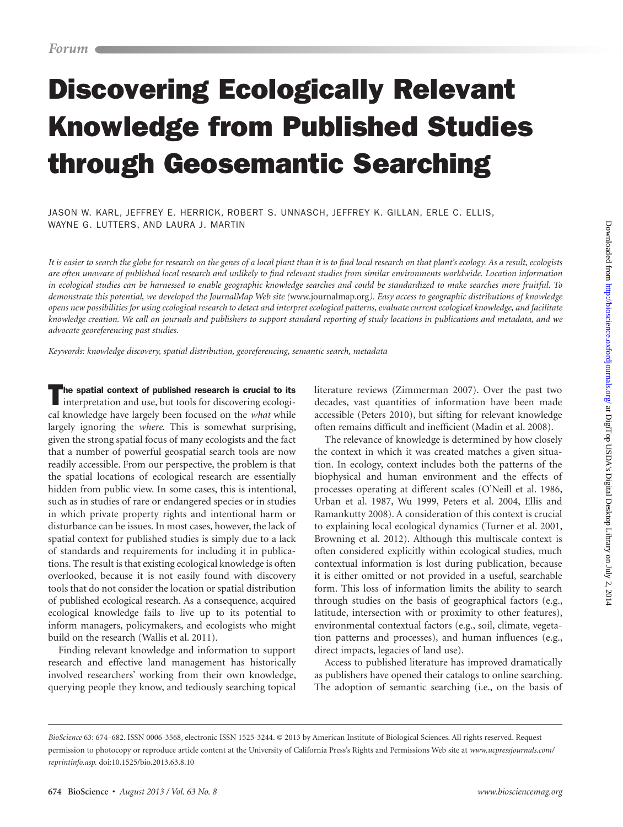# Discovering Ecologically Relevant Knowledge from Published Studies through Geosemantic Searching

Jason W. Karl, Jeffrey E. Herrick, Robert S. Unnasch, Jeffrey K. Gillan, Erle C. Ellis, Wayne G. Lutters, and Laura J. Martin

*It is easier to search the globe for research on the genes of a local plant than it is to find local research on that plant's ecology. As a result, ecologists are often unaware of published local research and unlikely to find relevant studies from similar environments worldwide. Location information in ecological studies can be harnessed to enable geographic knowledge searches and could be standardized to make searches more fruitful. To demonstrate this potential, we developed the JournalMap Web site (*www.journalmap.org*). Easy access to geographic distributions of knowledge opens new possibilities for using ecological research to detect and interpret ecological patterns, evaluate current ecological knowledge, and facilitate knowledge creation. We call on journals and publishers to support standard reporting of study locations in publications and metadata, and we advocate georeferencing past studies.*

*Keywords: knowledge discovery, spatial distribution, georeferencing, semantic search, metadata*

The spatial context of published research is crucial to its interpretation and use, but tools for discovering ecological knowledge have largely been focused on the *what* while largely ignoring the *where*. This is somewhat surprising, given the strong spatial focus of many ecologists and the fact that a number of powerful geospatial search tools are now readily accessible. From our perspective, the problem is that the spatial locations of ecological research are essentially hidden from public view. In some cases, this is intentional, such as in studies of rare or endangered species or in studies in which private property rights and intentional harm or disturbance can be issues. In most cases, however, the lack of spatial context for published studies is simply due to a lack of standards and requirements for including it in publications. The result is that existing ecological knowledge is often overlooked, because it is not easily found with discovery tools that do not consider the location or spatial distribution of published ecological research. As a consequence, acquired ecological knowledge fails to live up to its potential to inform managers, policymakers, and ecologists who might build on the research (Wallis et al. 2011).

Finding relevant knowledge and information to support research and effective land management has historically involved researchers' working from their own knowledge, querying people they know, and tediously searching topical

literature reviews (Zimmerman 2007). Over the past two decades, vast quantities of information have been made accessible (Peters 2010), but sifting for relevant knowledge often remains difficult and inefficient (Madin et al. 2008).

The relevance of knowledge is determined by how closely the context in which it was created matches a given situation. In ecology, context includes both the patterns of the biophysical and human environment and the effects of processes operating at different scales (O'Neill et al. 1986, Urban et al. 1987, Wu 1999, Peters et al. 2004, Ellis and Ramankutty 2008). A consideration of this context is crucial to explaining local ecological dynamics (Turner et al. 2001, Browning et al. 2012). Although this multiscale context is often considered explicitly within ecological studies, much contextual information is lost during publication, because it is either omitted or not provided in a useful, searchable form. This loss of information limits the ability to search through studies on the basis of geographical factors (e.g., latitude, intersection with or proximity to other features), environmental contextual factors (e.g., soil, climate, vegetation patterns and processes), and human influences (e.g., direct impacts, legacies of land use).

Access to published literature has improved dramatically as publishers have opened their catalogs to online searching. The adoption of semantic searching (i.e., on the basis of

*BioScience* 63: 674–682. ISSN 0006-3568, electronic ISSN 1525-3244. © 2013 by American Institute of Biological Sciences. All rights reserved. Request permission to photocopy or reproduce article content at the University of California Press's Rights and Permissions Web site at *www.ucpressjournals.com/ reprintinfo.asp.* doi:10.1525/bio.2013.63.8.10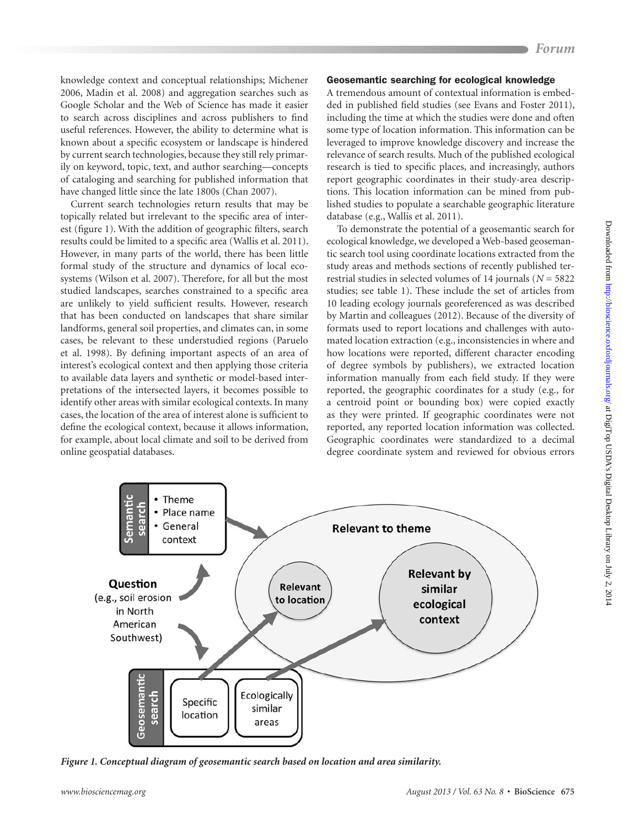knowledge context and conceptual relationships; Michener 2006, Madin et al. 2008) and aggregation searches such as Google Scholar and the Web of Science has made it easier to search across disciplines and across publishers to find useful references. However, the ability to determine what is known about a specific ecosystem or landscape is hindered by current search technologies, because they still rely primarily on keyword, topic, text, and author searching—concepts of cataloging and searching for published information that have changed little since the late 1800s (Chan 2007).

Current search technologies return results that may be topically related but irrelevant to the specific area of interest (figure 1). With the addition of geographic filters, search results could be limited to a specific area (Wallis et al. 2011). However, in many parts of the world, there has been little formal study of the structure and dynamics of local ecosystems (Wilson et al. 2007). Therefore, for all but the most studied landscapes, searches constrained to a specific area are unlikely to yield sufficient results. However, research that has been conducted on landscapes that share similar landforms, general soil properties, and climates can, in some cases, be relevant to these understudied regions (Paruelo et al. 1998). By defining important aspects of an area of interest's ecological context and then applying those criteria to available data layers and synthetic or model-based interpretations of the intersected layers, it becomes possible to identify other areas with similar ecological contexts. In many cases, the location of the area of interest alone is sufficient to define the ecological context, because it allows information, for example, about local climate and soil to be derived from online geospatial databases.

#### Geosemantic searching for ecological knowledge

A tremendous amount of contextual information is embedded in published field studies (see Evans and Foster 2011), including the time at which the studies were done and often some type of location information. This information can be leveraged to improve knowledge discovery and increase the relevance of search results. Much of the published ecological research is tied to specific places, and increasingly, authors report geographic coordinates in their study-area descriptions. This location information can be mined from published studies to populate a searchable geographic literature database (e.g., Wallis et al. 2011).

To demonstrate the potential of a geosemantic search for ecological knowledge, we developed a Web-based geosemantic search tool using coordinate locations extracted from the study areas and methods sections of recently published terrestrial studies in selected volumes of 14 journals (*N* = 5822 studies; see table 1). These include the set of articles from 10 leading ecology journals georeferenced as was described by Martin and colleagues (2012). Because of the diversity of formats used to report locations and challenges with automated location extraction (e.g., inconsistencies in where and how locations were reported, different character encoding of degree symbols by publishers), we extracted location information manually from each field study. If they were reported, the geographic coordinates for a study (e.g., for a centroid point or bounding box) were copied exactly as they were printed. If geographic coordinates were not reported, any reported location information was collected. Geographic coordinates were standardized to a decimal degree coordinate system and reviewed for obvious errors



*Figure 1. Conceptual diagram of geosemantic search based on location and area similarity.*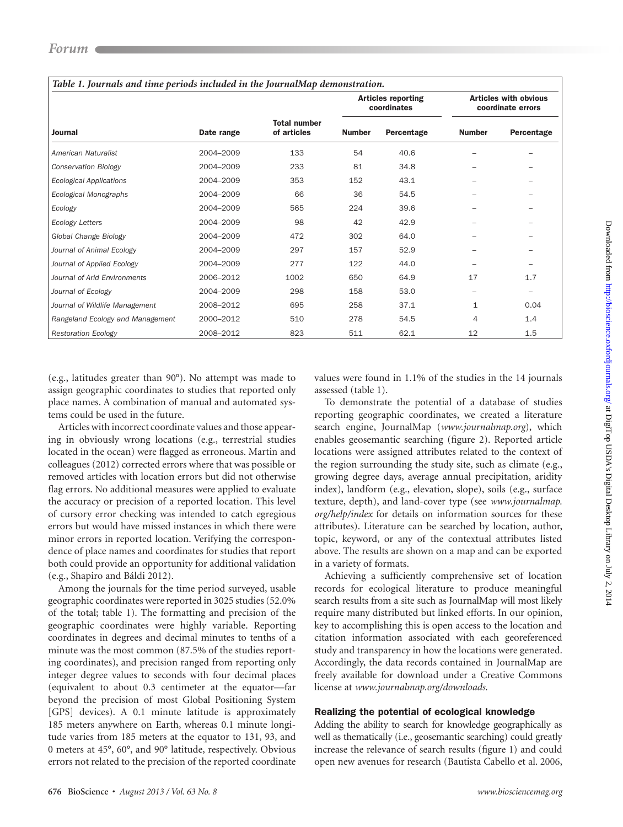| Table 1. Journals and time periods included in the JournalMap demonstration. |            |                                    |                                          |            |                                                   |            |
|------------------------------------------------------------------------------|------------|------------------------------------|------------------------------------------|------------|---------------------------------------------------|------------|
| Journal                                                                      | Date range | <b>Total number</b><br>of articles | <b>Articles reporting</b><br>coordinates |            | <b>Articles with obvious</b><br>coordinate errors |            |
|                                                                              |            |                                    | <b>Number</b>                            | Percentage | <b>Number</b>                                     | Percentage |
| American Naturalist                                                          | 2004-2009  | 133                                | 54                                       | 40.6       |                                                   |            |
| Conservation Biology                                                         | 2004-2009  | 233                                | 81                                       | 34.8       |                                                   |            |
| <b>Ecological Applications</b>                                               | 2004-2009  | 353                                | 152                                      | 43.1       |                                                   |            |
| Ecological Monographs                                                        | 2004-2009  | 66                                 | 36                                       | 54.5       |                                                   |            |
| Ecology                                                                      | 2004-2009  | 565                                | 224                                      | 39.6       |                                                   |            |
| <b>Ecology Letters</b>                                                       | 2004-2009  | 98                                 | 42                                       | 42.9       |                                                   |            |
| Global Change Biology                                                        | 2004-2009  | 472                                | 302                                      | 64.0       |                                                   |            |
| Journal of Animal Ecology                                                    | 2004-2009  | 297                                | 157                                      | 52.9       |                                                   |            |
| Journal of Applied Ecology                                                   | 2004-2009  | 277                                | 122                                      | 44.0       |                                                   |            |
| Journal of Arid Environments                                                 | 2006-2012  | 1002                               | 650                                      | 64.9       | 17                                                | 1.7        |
| Journal of Ecology                                                           | 2004-2009  | 298                                | 158                                      | 53.0       | -                                                 |            |
| Journal of Wildlife Management                                               | 2008-2012  | 695                                | 258                                      | 37.1       | $\mathbf{1}$                                      | 0.04       |
| Rangeland Ecology and Management                                             | 2000-2012  | 510                                | 278                                      | 54.5       | 4                                                 | 1.4        |
| <b>Restoration Ecology</b>                                                   | 2008-2012  | 823                                | 511                                      | 62.1       | 12                                                | 1.5        |

(e.g., latitudes greater than 90°). No attempt was made to assign geographic coordinates to studies that reported only place names. A combination of manual and automated systems could be used in the future.

Articles with incorrect coordinate values and those appearing in obviously wrong locations (e.g., terrestrial studies located in the ocean) were flagged as erroneous. Martin and colleagues (2012) corrected errors where that was possible or removed articles with location errors but did not otherwise flag errors. No additional measures were applied to evaluate the accuracy or precision of a reported location. This level of cursory error checking was intended to catch egregious errors but would have missed instances in which there were minor errors in reported location. Verifying the correspondence of place names and coordinates for studies that report both could provide an opportunity for additional validation (e.g., Shapiro and Báldi 2012).

Among the journals for the time period surveyed, usable geographic coordinates were reported in 3025 studies (52.0% of the total; table 1). The formatting and precision of the geographic coordinates were highly variable. Reporting coordinates in degrees and decimal minutes to tenths of a minute was the most common (87.5% of the studies reporting coordinates), and precision ranged from reporting only integer degree values to seconds with four decimal places (equivalent to about 0.3 centimeter at the equator—far beyond the precision of most Global Positioning System [GPS] devices). A 0.1 minute latitude is approximately 185 meters anywhere on Earth, whereas 0.1 minute longitude varies from 185 meters at the equator to 131, 93, and 0 meters at 45°, 60°, and 90° latitude, respectively. Obvious errors not related to the precision of the reported coordinate

values were found in 1.1% of the studies in the 14 journals assessed (table 1).

To demonstrate the potential of a database of studies reporting geographic coordinates, we created a literature search engine, JournalMap (*www.journalmap.org*), which enables geosemantic searching (figure 2). Reported article locations were assigned attributes related to the context of the region surrounding the study site, such as climate (e.g., growing degree days, average annual precipitation, aridity index), landform (e.g., elevation, slope), soils (e.g., surface texture, depth), and land-cover type (see *www.journalmap. org/help/index* for details on information sources for these attributes). Literature can be searched by location, author, topic, keyword, or any of the contextual attributes listed above. The results are shown on a map and can be exported in a variety of formats.

Achieving a sufficiently comprehensive set of location records for ecological literature to produce meaningful search results from a site such as JournalMap will most likely require many distributed but linked efforts. In our opinion, key to accomplishing this is open access to the location and citation information associated with each georeferenced study and transparency in how the locations were generated. Accordingly, the data records contained in JournalMap are freely available for download under a Creative Commons license at *www.journalmap.org/downloads*.

#### Realizing the potential of ecological knowledge

Adding the ability to search for knowledge geographically as well as thematically (i.e., geosemantic searching) could greatly increase the relevance of search results (figure 1) and could open new avenues for research (Bautista Cabello et al. 2006,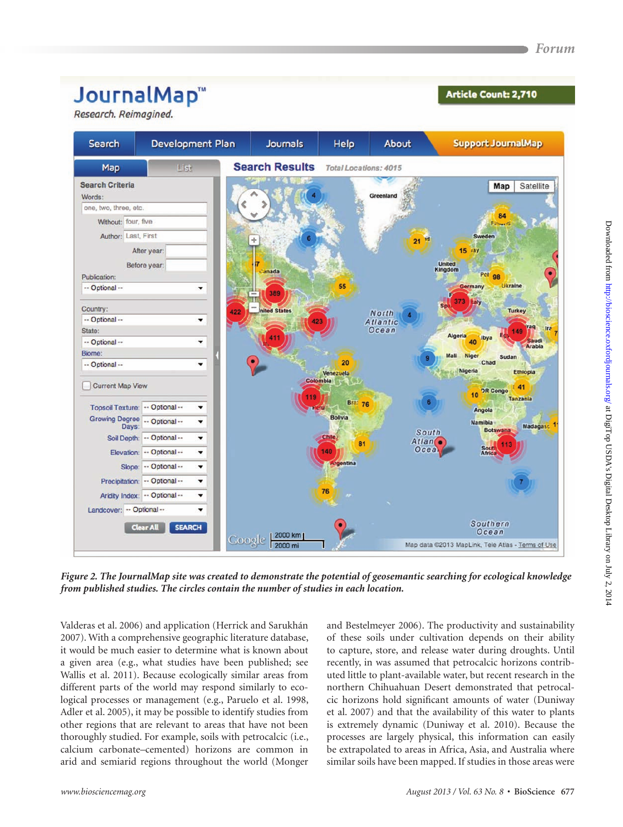# JournalMap<sup>™</sup>

Research. Reimagined.

### **Article Count: 2,710**



*Figure 2. The JournalMap site was created to demonstrate the potential of geosemantic searching for ecological knowledge from published studies. The circles contain the number of studies in each location.*

Valderas et al. 2006) and application (Herrick and Sarukhán 2007). With a comprehensive geographic literature database, it would be much easier to determine what is known about a given area (e.g., what studies have been published; see Wallis et al. 2011). Because ecologically similar areas from different parts of the world may respond similarly to ecological processes or management (e.g., Paruelo et al. 1998, Adler et al. 2005), it may be possible to identify studies from other regions that are relevant to areas that have not been thoroughly studied. For example, soils with petrocalcic (i.e., calcium carbonate–cemented) horizons are common in arid and semiarid regions throughout the world (Monger and Bestelmeyer 2006). The productivity and sustainability of these soils under cultivation depends on their ability to capture, store, and release water during droughts. Until recently, in was assumed that petrocalcic horizons contributed little to plant-available water, but recent research in the northern Chihuahuan Desert demonstrated that petrocalcic horizons hold significant amounts of water (Duniway et al. 2007) and that the availability of this water to plants is extremely dynamic (Duniway et al. 2010). Because the processes are largely physical, this information can easily be extrapolated to areas in Africa, Asia, and Australia where similar soils have been mapped. If studies in those areas were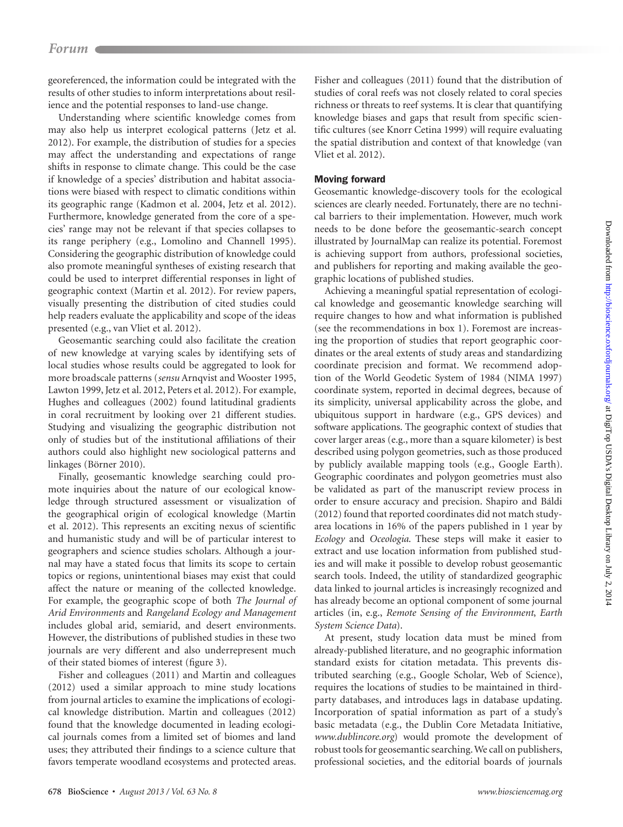## *Forum Forum*

georeferenced, the information could be integrated with the results of other studies to inform interpretations about resilience and the potential responses to land-use change.

Understanding where scientific knowledge comes from may also help us interpret ecological patterns (Jetz et al. 2012). For example, the distribution of studies for a species may affect the understanding and expectations of range shifts in response to climate change. This could be the case if knowledge of a species' distribution and habitat associations were biased with respect to climatic conditions within its geographic range (Kadmon et al. 2004, Jetz et al. 2012). Furthermore, knowledge generated from the core of a species' range may not be relevant if that species collapses to its range periphery (e.g., Lomolino and Channell 1995). Considering the geographic distribution of knowledge could also promote meaningful syntheses of existing research that could be used to interpret differential responses in light of geographic context (Martin et al. 2012). For review papers, visually presenting the distribution of cited studies could help readers evaluate the applicability and scope of the ideas presented (e.g., van Vliet et al. 2012).

Geosemantic searching could also facilitate the creation of new knowledge at varying scales by identifying sets of local studies whose results could be aggregated to look for more broadscale patterns (*sensu* Arnqvist and Wooster 1995, Lawton 1999, Jetz et al. 2012, Peters et al. 2012). For example, Hughes and colleagues (2002) found latitudinal gradients in coral recruitment by looking over 21 different studies. Studying and visualizing the geographic distribution not only of studies but of the institutional affiliations of their authors could also highlight new sociological patterns and linkages (Börner 2010).

Finally, geosemantic knowledge searching could promote inquiries about the nature of our ecological knowledge through structured assessment or visualization of the geographical origin of ecological knowledge (Martin et al. 2012). This represents an exciting nexus of scientific and humanistic study and will be of particular interest to geographers and science studies scholars. Although a journal may have a stated focus that limits its scope to certain topics or regions, unintentional biases may exist that could affect the nature or meaning of the collected knowledge. For example, the geographic scope of both *The Journal of Arid Environments* and *Rangeland Ecology and Management* includes global arid, semiarid, and desert environments. However, the distributions of published studies in these two journals are very different and also underrepresent much of their stated biomes of interest (figure 3).

Fisher and colleagues (2011) and Martin and colleagues (2012) used a similar approach to mine study locations from journal articles to examine the implications of ecological knowledge distribution. Martin and colleagues (2012) found that the knowledge documented in leading ecological journals comes from a limited set of biomes and land uses; they attributed their findings to a science culture that favors temperate woodland ecosystems and protected areas. Fisher and colleagues (2011) found that the distribution of studies of coral reefs was not closely related to coral species richness or threats to reef systems. It is clear that quantifying knowledge biases and gaps that result from specific scientific cultures (see Knorr Cetina 1999) will require evaluating the spatial distribution and context of that knowledge (van Vliet et al. 2012).

#### Moving forward

Geosemantic knowledge-discovery tools for the ecological sciences are clearly needed. Fortunately, there are no technical barriers to their implementation. However, much work needs to be done before the geosemantic-search concept illustrated by JournalMap can realize its potential. Foremost is achieving support from authors, professional societies, and publishers for reporting and making available the geographic locations of published studies.

Achieving a meaningful spatial representation of ecological knowledge and geosemantic knowledge searching will require changes to how and what information is published (see the recommendations in box 1). Foremost are increasing the proportion of studies that report geographic coordinates or the areal extents of study areas and standardizing coordinate precision and format. We recommend adoption of the World Geodetic System of 1984 (NIMA 1997) coordinate system, reported in decimal degrees, because of its simplicity, universal applicability across the globe, and ubiquitous support in hardware (e.g., GPS devices) and software applications. The geographic context of studies that cover larger areas (e.g., more than a square kilometer) is best described using polygon geometries, such as those produced by publicly available mapping tools (e.g., Google Earth). Geographic coordinates and polygon geometries must also be validated as part of the manuscript review process in order to ensure accuracy and precision. Shapiro and Báldi (2012) found that reported coordinates did not match studyarea locations in 16% of the papers published in 1 year by *Ecology* and *Oceologia*. These steps will make it easier to extract and use location information from published studies and will make it possible to develop robust geosemantic search tools. Indeed, the utility of standardized geographic data linked to journal articles is increasingly recognized and has already become an optional component of some journal articles (in, e.g., *Remote Sensing of the Environment*, *Earth System Science Data*).

At present, study location data must be mined from already-published literature, and no geographic information standard exists for citation metadata. This prevents distributed searching (e.g., Google Scholar, Web of Science), requires the locations of studies to be maintained in thirdparty databases, and introduces lags in database updating. Incorporation of spatial information as part of a study's basic metadata (e.g., the Dublin Core Metadata Initiative, *www.dublincore.org*) would promote the development of robust tools for geosemantic searching. We call on publishers, professional societies, and the editorial boards of journals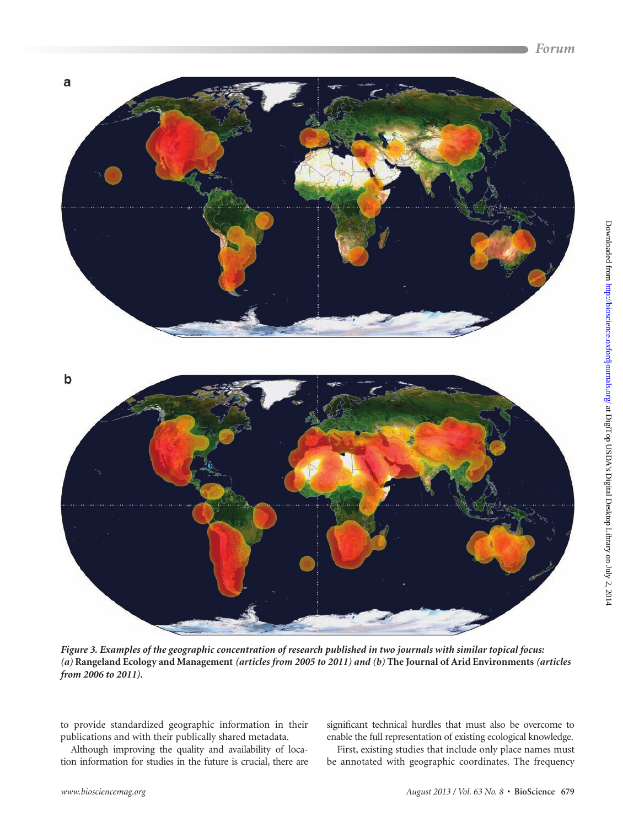

*Figure 3. Examples of the geographic concentration of research published in two journals with similar topical focus: (a)* **Rangeland Ecology and Management** *(articles from 2005 to 2011) and (b)* **The Journal of Arid Environments** *(articles from 2006 to 2011).*

to provide standardized geographic information in their publications and with their publically shared metadata.

Although improving the quality and availability of location information for studies in the future is crucial, there are significant technical hurdles that must also be overcome to enable the full representation of existing ecological knowledge.

First, existing studies that include only place names must be annotated with geographic coordinates. The frequency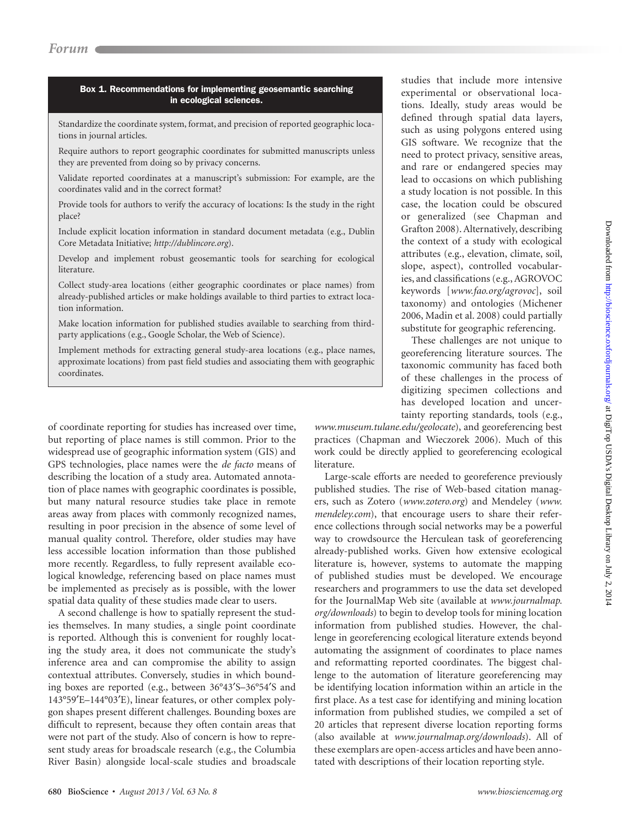#### Box 1. Recommendations for implementing geosemantic searching in ecological sciences.

Standardize the coordinate system, format, and precision of reported geographic locations in journal articles.

Require authors to report geographic coordinates for submitted manuscripts unless they are prevented from doing so by privacy concerns.

Validate reported coordinates at a manuscript's submission: For example, are the coordinates valid and in the correct format?

Provide tools for authors to verify the accuracy of locations: Is the study in the right place?

Include explicit location information in standard document metadata (e.g., Dublin Core Metadata Initiative; *http://dublincore.org*).

Develop and implement robust geosemantic tools for searching for ecological literature.

Collect study-area locations (either geographic coordinates or place names) from already-published articles or make holdings available to third parties to extract location information.

Make location information for published studies available to searching from thirdparty applications (e.g., Google Scholar, the Web of Science).

Implement methods for extracting general study-area locations (e.g., place names, approximate locations) from past field studies and associating them with geographic coordinates.

of coordinate reporting for studies has increased over time, but reporting of place names is still common. Prior to the widespread use of geographic information system (GIS) and GPS technologies, place names were the *de facto* means of describing the location of a study area. Automated annotation of place names with geographic coordinates is possible, but many natural resource studies take place in remote areas away from places with commonly recognized names, resulting in poor precision in the absence of some level of manual quality control. Therefore, older studies may have less accessible location information than those published more recently. Regardless, to fully represent available ecological knowledge, referencing based on place names must be implemented as precisely as is possible, with the lower spatial data quality of these studies made clear to users.

A second challenge is how to spatially represent the studies themselves. In many studies, a single point coordinate is reported. Although this is convenient for roughly locating the study area, it does not communicate the study's inference area and can compromise the ability to assign contextual attributes. Conversely, studies in which bounding boxes are reported (e.g., between 36°43′S–36°54′S and 143°59′E–144°03′E), linear features, or other complex polygon shapes present different challenges. Bounding boxes are difficult to represent, because they often contain areas that were not part of the study. Also of concern is how to represent study areas for broadscale research (e.g., the Columbia River Basin) alongside local-scale studies and broadscale

studies that include more intensive experimental or observational locations. Ideally, study areas would be defined through spatial data layers, such as using polygons entered using GIS software. We recognize that the need to protect privacy, sensitive areas, and rare or endangered species may lead to occasions on which publishing a study location is not possible. In this case, the location could be obscured or generalized (see Chapman and Grafton 2008). Alternatively, describing the context of a study with ecological attributes (e.g., elevation, climate, soil, slope, aspect), controlled vocabularies, and classifications (e.g., AGROVOC keywords [*www.fao.org/agrovoc*], soil taxonomy) and ontologies (Michener 2006, Madin et al. 2008) could partially substitute for geographic referencing.

These challenges are not unique to georeferencing literature sources. The taxonomic community has faced both of these challenges in the process of digitizing specimen collections and has developed location and uncertainty reporting standards, tools (e.g.,

*www.museum.tulane.edu/geolocate*), and georeferencing best practices (Chapman and Wieczorek 2006). Much of this work could be directly applied to georeferencing ecological literature.

Large-scale efforts are needed to georeference previously published studies. The rise of Web-based citation managers, such as Zotero (*www.zotero.org*) and Mendeley (*www. mendeley.com*), that encourage users to share their reference collections through social networks may be a powerful way to crowdsource the Herculean task of georeferencing already-published works. Given how extensive ecological literature is, however, systems to automate the mapping of published studies must be developed. We encourage researchers and programmers to use the data set developed for the JournalMap Web site (available at *www.journalmap. org/downloads*) to begin to develop tools for mining location information from published studies. However, the challenge in georeferencing ecological literature extends beyond automating the assignment of coordinates to place names and reformatting reported coordinates. The biggest challenge to the automation of literature georeferencing may be identifying location information within an article in the first place. As a test case for identifying and mining location information from published studies, we compiled a set of 20 articles that represent diverse location reporting forms (also available at *www.journalmap.org/downloads*). All of these exemplars are open-access articles and have been annotated with descriptions of their location reporting style.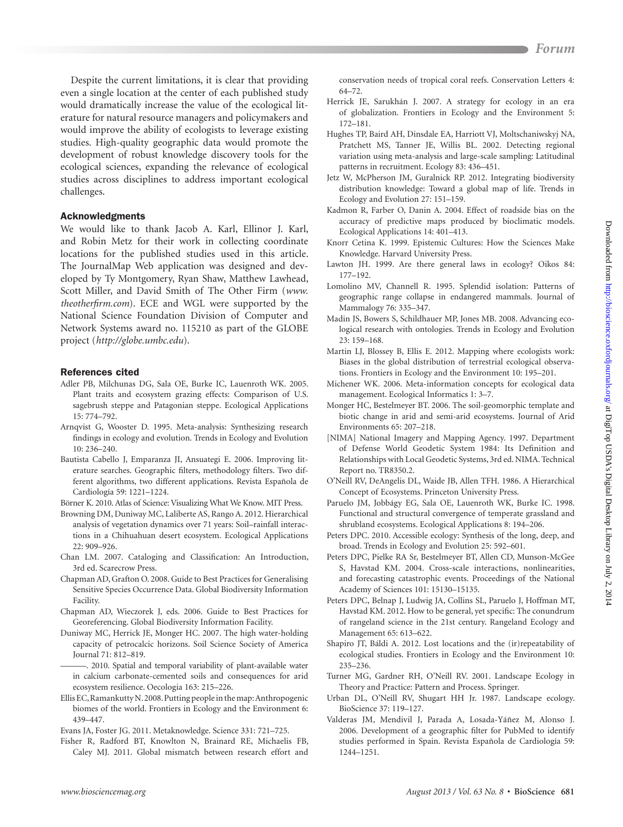Despite the current limitations, it is clear that providing even a single location at the center of each published study would dramatically increase the value of the ecological literature for natural resource managers and policymakers and would improve the ability of ecologists to leverage existing studies. High-quality geographic data would promote the development of robust knowledge discovery tools for the ecological sciences, expanding the relevance of ecological studies across disciplines to address important ecological challenges.

#### Acknowledgments

We would like to thank Jacob A. Karl, Ellinor J. Karl, and Robin Metz for their work in collecting coordinate locations for the published studies used in this article. The JournalMap Web application was designed and developed by Ty Montgomery, Ryan Shaw, Matthew Lawhead, Scott Miller, and David Smith of The Other Firm (*www. theotherfirm.com*). ECE and WGL were supported by the National Science Foundation Division of Computer and Network Systems award no. 115210 as part of the GLOBE project (*http://globe.umbc.edu*).

#### References cited

- Adler PB, Milchunas DG, Sala OE, Burke IC, Lauenroth WK. 2005. Plant traits and ecosystem grazing effects: Comparison of U.S. sagebrush steppe and Patagonian steppe. Ecological Applications 15: 774–792.
- Arnqvist G, Wooster D. 1995. Meta-analysis: Synthesizing research findings in ecology and evolution. Trends in Ecology and Evolution 10: 236–240.
- Bautista Cabello J, Emparanza JI, Ansuategi E. 2006. Improving literature searches. Geographic filters, methodology filters. Two different algorithms, two different applications. Revista Española de Cardiología 59: 1221–1224.

Börner K. 2010. Atlas of Science: Visualizing What We Know. MIT Press.

- Browning DM, Duniway MC, Laliberte AS, Rango A. 2012. Hierarchical analysis of vegetation dynamics over 71 years: Soil–rainfall interactions in a Chihuahuan desert ecosystem. Ecological Applications 22: 909–926.
- Chan LM. 2007. Cataloging and Classification: An Introduction, 3rd ed. Scarecrow Press.
- Chapman AD, Grafton O. 2008. Guide to Best Practices for Generalising Sensitive Species Occurrence Data. Global Biodiversity Information Facility.
- Chapman AD, Wieczorek J, eds. 2006. Guide to Best Practices for Georeferencing. Global Biodiversity Information Facility.
- Duniway MC, Herrick JE, Monger HC. 2007. The high water-holding capacity of petrocalcic horizons. Soil Science Society of America Journal 71: 812–819.

———. 2010. Spatial and temporal variability of plant-available water in calcium carbonate-cemented soils and consequences for arid ecosystem resilience. Oecologia 163: 215–226.

Ellis EC, Ramankutty N. 2008. Putting people in the map: Anthropogenic biomes of the world. Frontiers in Ecology and the Environment 6: 439–447.

Evans JA, Foster JG. 2011. Metaknowledge. Science 331: 721–725.

Fisher R, Radford BT, Knowlton N, Brainard RE, Michaelis FB, Caley MJ. 2011. Global mismatch between research effort and conservation needs of tropical coral reefs. Conservation Letters 4: 64–72.

- Herrick JE, Sarukhán J. 2007. A strategy for ecology in an era of globalization. Frontiers in Ecology and the Environment 5: 172–181.
- Hughes TP, Baird AH, Dinsdale EA, Harriott VJ, Moltschaniwskyj NA, Pratchett MS, Tanner JE, Willis BL. 2002. Detecting regional variation using meta-analysis and large-scale sampling: Latitudinal patterns in recruitment. Ecology 83: 436–451.
- Jetz W, McPherson JM, Guralnick RP. 2012. Integrating biodiversity distribution knowledge: Toward a global map of life. Trends in Ecology and Evolution 27: 151–159.
- Kadmon R, Farber O, Danin A. 2004. Effect of roadside bias on the accuracy of predictive maps produced by bioclimatic models. Ecological Applications 14: 401–413.
- Knorr Cetina K. 1999. Epistemic Cultures: How the Sciences Make Knowledge. Harvard University Press.
- Lawton JH. 1999. Are there general laws in ecology? Oikos 84: 177–192.
- Lomolino MV, Channell R. 1995. Splendid isolation: Patterns of geographic range collapse in endangered mammals. Journal of Mammalogy 76: 335–347.
- Madin JS, Bowers S, Schildhauer MP, Jones MB. 2008. Advancing ecological research with ontologies. Trends in Ecology and Evolution 23: 159–168.
- Martin LJ, Blossey B, Ellis E. 2012. Mapping where ecologists work: Biases in the global distribution of terrestrial ecological observations. Frontiers in Ecology and the Environment 10: 195–201.
- Michener WK. 2006. Meta-information concepts for ecological data management. Ecological Informatics 1: 3–7.
- Monger HC, Bestelmeyer BT. 2006. The soil-geomorphic template and biotic change in arid and semi-arid ecosystems. Journal of Arid Environments 65: 207–218.
- [NIMA] National Imagery and Mapping Agency. 1997. Department of Defense World Geodetic System 1984: Its Definition and Relationships with Local Geodetic Systems, 3rd ed. NIMA. Technical Report no. TR8350.2.
- O'Neill RV, DeAngelis DL, Waide JB, Allen TFH. 1986. A Hierarchical Concept of Ecosystems. Princeton University Press.
- Paruelo JM, Jobbágy EG, Sala OE, Lauenroth WK, Burke IC. 1998. Functional and structural convergence of temperate grassland and shrubland ecosystems. Ecological Applications 8: 194–206.
- Peters DPC. 2010. Accessible ecology: Synthesis of the long, deep, and broad. Trends in Ecology and Evolution 25: 592–601.
- Peters DPC, Pielke RA Sr, Bestelmeyer BT, Allen CD, Munson-McGee S, Havstad KM. 2004. Cross-scale interactions, nonlinearities, and forecasting catastrophic events. Proceedings of the National Academy of Sciences 101: 15130–15135.
- Peters DPC, Belnap J, Ludwig JA, Collins SL, Paruelo J, Hoffman MT, Havstad KM. 2012. How to be general, yet specific: The conundrum of rangeland science in the 21st century. Rangeland Ecology and Management 65: 613–622.
- Shapiro JT, Báldi A. 2012. Lost locations and the (ir)repeatability of ecological studies. Frontiers in Ecology and the Environment 10: 235–236.
- Turner MG, Gardner RH, O'Neill RV. 2001. Landscape Ecology in Theory and Practice: Pattern and Process. Springer.
- Urban DL, O'Neill RV, Shugart HH Jr. 1987. Landscape ecology. BioScience 37: 119–127.
- Valderas JM, Mendivil J, Parada A, Losada-Yáñez M, Alonso J. 2006. Development of a geographic filter for PubMed to identify studies performed in Spain. Revista Española de Cardiología 59: 1244–1251.